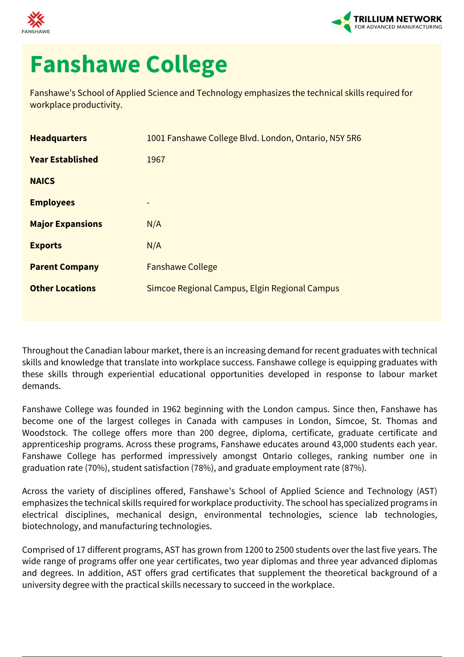



## **Fanshawe College**

Fanshawe's School of Applied Science and Technology emphasizes the technical skills required for workplace productivity.

| <b>Headquarters</b>     | 1001 Fanshawe College Blvd. London, Ontario, N5Y 5R6 |
|-------------------------|------------------------------------------------------|
| <b>Year Established</b> | 1967                                                 |
| <b>NAICS</b>            |                                                      |
| <b>Employees</b>        |                                                      |
| <b>Major Expansions</b> | N/A                                                  |
| <b>Exports</b>          | N/A                                                  |
| <b>Parent Company</b>   | <b>Fanshawe College</b>                              |
| <b>Other Locations</b>  | Simcoe Regional Campus, Elgin Regional Campus        |

Throughout the Canadian labour market, there is an increasing demand for recent graduates with technical skills and knowledge that translate into workplace success. Fanshawe college is equipping graduates with these skills through experiential educational opportunities developed in response to labour market demands.

Fanshawe College was founded in 1962 beginning with the London campus. Since then, Fanshawe has become one of the largest colleges in Canada with campuses in London, Simcoe, St. Thomas and Woodstock. The college offers more than 200 degree, diploma, certificate, graduate certificate and apprenticeship programs. Across these programs, Fanshawe educates around 43,000 students each year. Fanshawe College has performed impressively amongst Ontario colleges, ranking number one in graduation rate (70%), student satisfaction (78%), and graduate employment rate (87%).

Across the variety of disciplines offered, Fanshawe's School of Applied Science and Technology (AST) emphasizes the technical skills required for workplace productivity. The school has specialized programs in electrical disciplines, mechanical design, environmental technologies, science lab technologies, biotechnology, and manufacturing technologies.

Comprised of 17 different programs, AST has grown from 1200 to 2500 students over the last five years. The wide range of programs offer one year certificates, two year diplomas and three year advanced diplomas and degrees. In addition, AST offers grad certificates that supplement the theoretical background of a university degree with the practical skills necessary to succeed in the workplace.